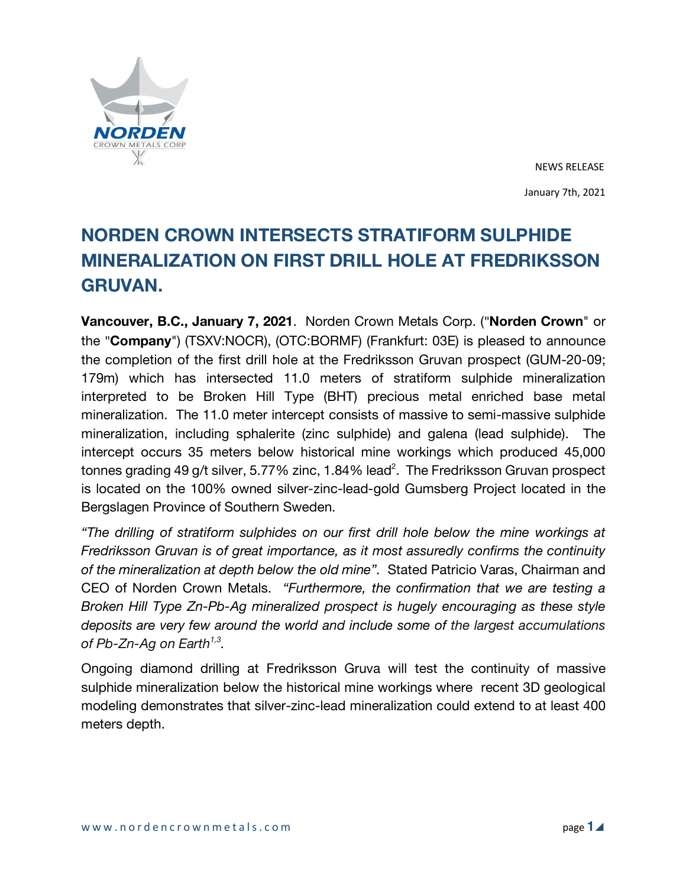

NEWS RELEASE January 7th, 2021

# **NORDEN CROWN INTERSECTS STRATIFORM SULPHIDE MINERALIZATION ON FIRST DRILL HOLE AT FREDRIKSSON GRUVAN.**

**Vancouver, B.C., January 7, 2021**. Norden Crown Metals Corp. ("**Norden Crown**" or the "**Company**") (TSXV:NOCR), (OTC:BORMF) (Frankfurt: 03E) is pleased to announce the completion of the first drill hole at the Fredriksson Gruvan prospect (GUM-20-09; 179m) which has intersected 11.0 meters of stratiform sulphide mineralization interpreted to be Broken Hill Type (BHT) precious metal enriched base metal mineralization. The 11.0 meter intercept consists of massive to semi-massive sulphide mineralization, including sphalerite (zinc sulphide) and galena (lead sulphide). The intercept occurs 35 meters below historical mine workings which produced 45,000 tonnes grading 49 g/t silver, 5.77% zinc, 1.84% lead<sup>2</sup>. The Fredriksson Gruvan prospect is located on the 100% owned silver-zinc-lead-gold Gumsberg Project located in the Bergslagen Province of Southern Sweden.

*"The drilling of stratiform sulphides on our first drill hole below the mine workings at Fredriksson Gruvan is of great importance, as it most assuredly confirms the continuity of the mineralization at depth below the old mine".* Stated Patricio Varas, Chairman and CEO of Norden Crown Metals. *"Furthermore, the confirmation that we are testing a Broken Hill Type Zn-Pb-Ag mineralized prospect is hugely encouraging as these style deposits are very few around the world and include some of the largest accumulations of Pb-Zn-Ag on Earth1,3.* 

Ongoing diamond drilling at Fredriksson Gruva will test the continuity of massive sulphide mineralization below the historical mine workings where recent 3D geological modeling demonstrates that silver-zinc-lead mineralization could extend to at least 400 meters depth.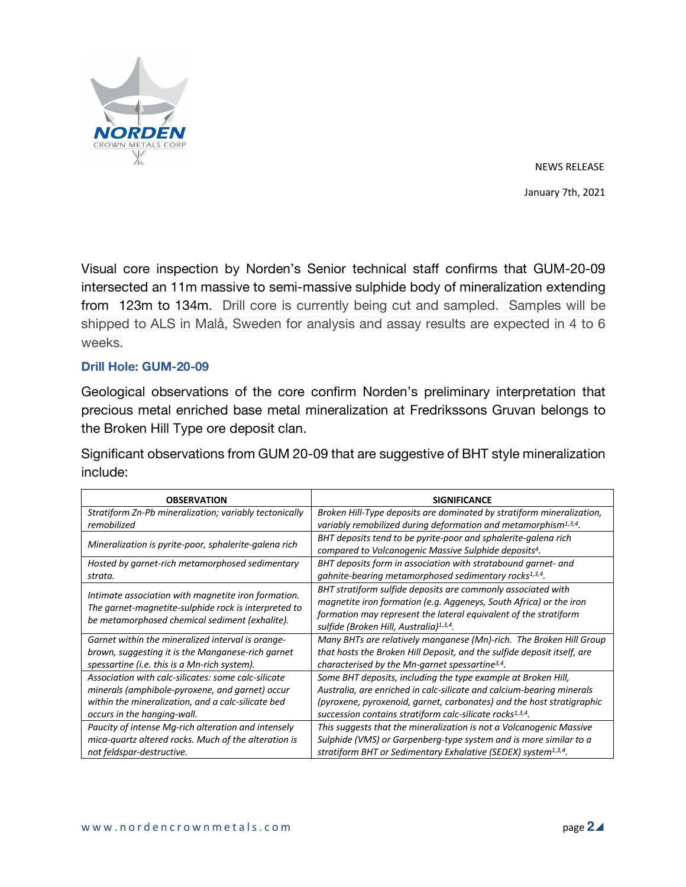

NEWS RELEASE January 7th, 2021

Visual core inspection by Norden's Senior technical staff confirms that GUM-20-09 intersected an 11m massive to semi-massive sulphide body of mineralization extending from 123m to 134m. Drill core is currently being cut and sampled. Samples will be shipped to ALS in Malå, Sweden for analysis and assay results are expected in 4 to 6 weeks.

## **Drill Hole: GUM-20-09**

Geological observations of the core confirm Norden's preliminary interpretation that precious metal enriched base metal mineralization at Fredrikssons Gruvan belongs to the Broken Hill Type ore deposit clan.

Significant observations from GUM 20-09 that are suggestive of BHT style mineralization include:

| <b>OBSERVATION</b>                                                                                                                                            | <b>SIGNIFICANCE</b>                                                                                                                                                                                                                                           |
|---------------------------------------------------------------------------------------------------------------------------------------------------------------|---------------------------------------------------------------------------------------------------------------------------------------------------------------------------------------------------------------------------------------------------------------|
| Stratiform Zn-Pb mineralization; variably tectonically                                                                                                        | Broken Hill-Type deposits are dominated by stratiform mineralization,                                                                                                                                                                                         |
| remobilized                                                                                                                                                   | variably remobilized during deformation and metamorphism <sup>1,3,4</sup> .                                                                                                                                                                                   |
| Mineralization is pyrite-poor, sphalerite-galena rich                                                                                                         | BHT deposits tend to be pyrite-poor and sphalerite-galena rich                                                                                                                                                                                                |
|                                                                                                                                                               | compared to Volcanogenic Massive Sulphide deposits <sup>4</sup> .                                                                                                                                                                                             |
| Hosted by garnet-rich metamorphosed sedimentary                                                                                                               | BHT deposits form in association with stratabound garnet- and                                                                                                                                                                                                 |
| strata.                                                                                                                                                       | gahnite-bearing metamorphosed sedimentary rocks <sup>1,3,4</sup> .                                                                                                                                                                                            |
| Intimate association with magnetite iron formation.<br>The garnet-magnetite-sulphide rock is interpreted to<br>be metamorphosed chemical sediment (exhalite). | BHT stratiform sulfide deposits are commonly associated with<br>magnetite iron formation (e.g. Aggeneys, South Africa) or the iron<br>formation may represent the lateral equivalent of the stratiform<br>sulfide (Broken Hill, Australia) <sup>1,3,4</sup> . |
| Garnet within the mineralized interval is orange-                                                                                                             | Many BHTs are relatively manganese (Mn)-rich. The Broken Hill Group                                                                                                                                                                                           |
| brown, suggesting it is the Manganese-rich garnet                                                                                                             | that hosts the Broken Hill Deposit, and the sulfide deposit itself, are                                                                                                                                                                                       |
| spessartine (i.e. this is a Mn-rich system).                                                                                                                  | characterised by the Mn-garnet spessartine <sup>3,4</sup> .                                                                                                                                                                                                   |
| Association with calc-silicates: some calc-silicate                                                                                                           | Some BHT deposits, including the type example at Broken Hill,                                                                                                                                                                                                 |
| minerals (amphibole-pyroxene, and garnet) occur                                                                                                               | Australia, are enriched in calc-silicate and calcium-bearing minerals                                                                                                                                                                                         |
| within the mineralization, and a calc-silicate bed                                                                                                            | (pyroxene, pyroxenoid, garnet, carbonates) and the host stratigraphic                                                                                                                                                                                         |
| occurs in the hanging-wall.                                                                                                                                   | succession contains stratiform calc-silicate rocks <sup>1,3,4</sup> .                                                                                                                                                                                         |
| Paucity of intense Mg-rich alteration and intensely                                                                                                           | This suggests that the mineralization is not a Volcanogenic Massive                                                                                                                                                                                           |
| mica-quartz altered rocks. Much of the alteration is                                                                                                          | Sulphide (VMS) or Garpenberg-type system and is more similar to a                                                                                                                                                                                             |
| not feldspar-destructive.                                                                                                                                     | stratiform BHT or Sedimentary Exhalative (SEDEX) system <sup>1,3,4</sup> .                                                                                                                                                                                    |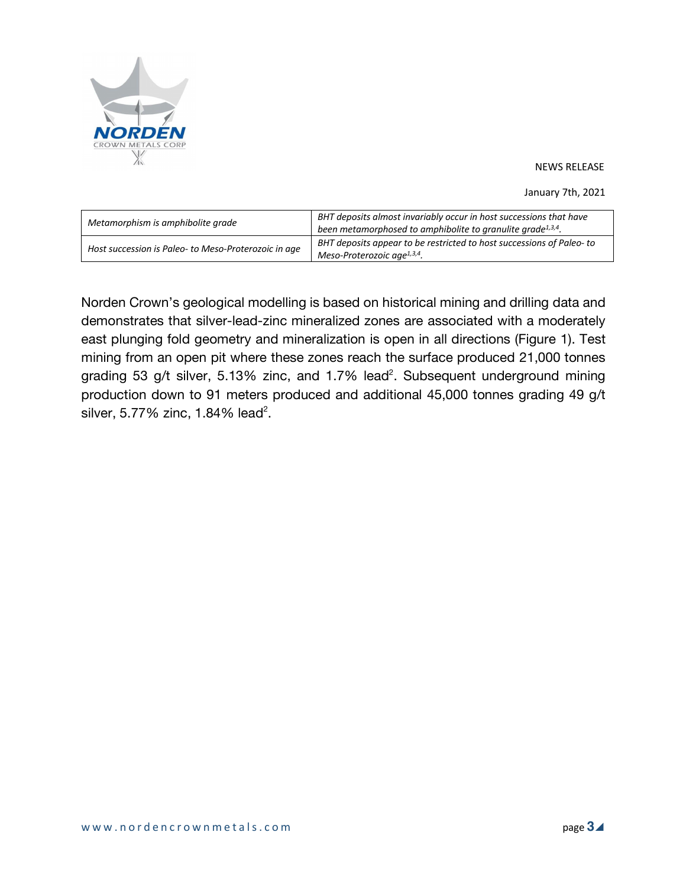

January 7th, 2021

| Metamorphism is amphibolite grade                    | BHT deposits almost invariably occur in host successions that have<br>been metamorphosed to amphibolite to granulite grade <sup>1,3,4</sup> . |
|------------------------------------------------------|-----------------------------------------------------------------------------------------------------------------------------------------------|
| Host succession is Paleo- to Meso-Proterozoic in age | BHT deposits appear to be restricted to host successions of Paleo-to<br>Meso-Proterozoic age <sup>1,3,4</sup> .                               |

Norden Crown's geological modelling is based on historical mining and drilling data and demonstrates that silver-lead-zinc mineralized zones are associated with a moderately east plunging fold geometry and mineralization is open in all directions (Figure 1). Test mining from an open pit where these zones reach the surface produced 21,000 tonnes grading 53 g/t silver, 5.13% zinc, and 1.7% lead<sup>2</sup>. Subsequent underground mining production down to 91 meters produced and additional 45,000 tonnes grading 49 g/t silver, 5.77% zinc, 1.84% lead<sup>2</sup>.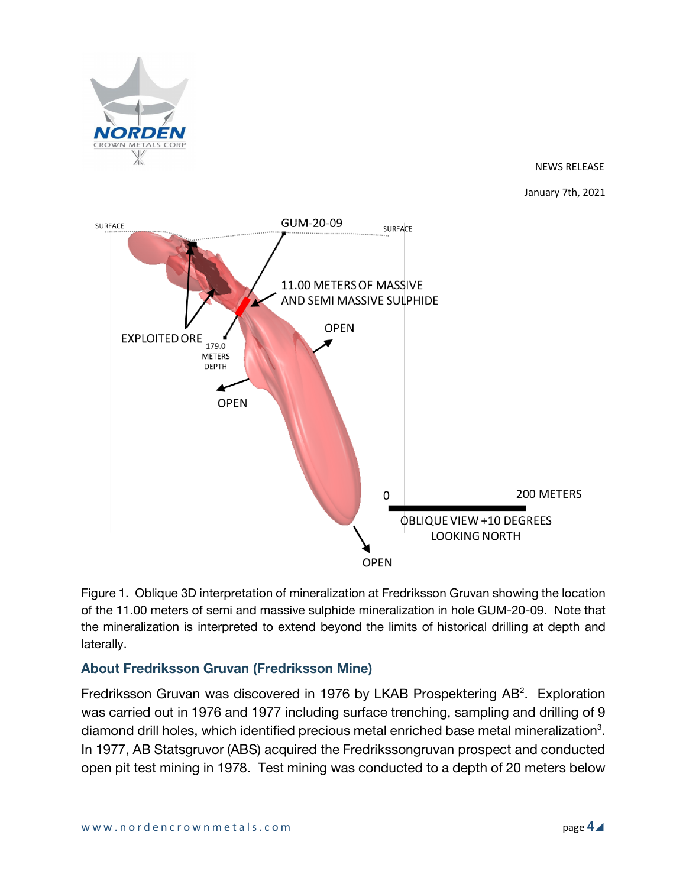

January 7th, 2021



Figure 1. Oblique 3D interpretation of mineralization at Fredriksson Gruvan showing the location of the 11.00 meters of semi and massive sulphide mineralization in hole GUM-20-09. Note that the mineralization is interpreted to extend beyond the limits of historical drilling at depth and laterally.

# **About Fredriksson Gruvan (Fredriksson Mine)**

Fredriksson Gruvan was discovered in 1976 by LKAB Prospektering  $AB^2$ . Exploration was carried out in 1976 and 1977 including surface trenching, sampling and drilling of 9 diamond drill holes, which identified precious metal enriched base metal mineralization<sup>3</sup>. In 1977, AB Statsgruvor (ABS) acquired the Fredrikssongruvan prospect and conducted open pit test mining in 1978. Test mining was conducted to a depth of 20 meters below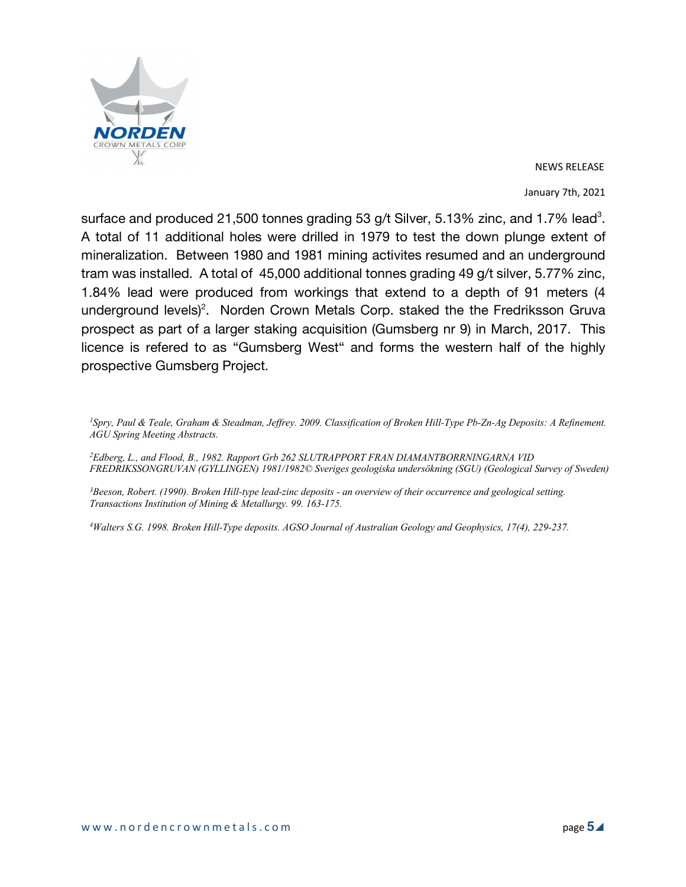

January 7th, 2021

surface and produced 21,500 tonnes grading 53 g/t Silver, 5.13% zinc, and 1.7% lead<sup>3</sup>. A total of 11 additional holes were drilled in 1979 to test the down plunge extent of mineralization. Between 1980 and 1981 mining activites resumed and an underground tram was installed. A total of 45,000 additional tonnes grading 49 g/t silver, 5.77% zinc, 1.84% lead were produced from workings that extend to a depth of 91 meters (4 underground levels)<sup>2</sup>. Norden Crown Metals Corp. staked the the Fredriksson Gruva prospect as part of a larger staking acquisition (Gumsberg nr 9) in March, 2017. This licence is refered to as "Gumsberg West" and forms the western half of the highly prospective Gumsberg Project.

<sup>1</sup>Spry, Paul & Teale, Graham & Steadman, Jeffrey. 2009. Classification of Broken Hill-Type Pb-Zn-Ag Deposits: A Refinement. *AGU Spring Meeting Abstracts.*

*2 Edberg, L., and Flood, B., 1982. Rapport Grb 262 SLUTRAPPORT FRAN DIAMANTBORRNINGARNA VID FREDRIKSSONGRUVAN (GYLLINGEN) 1981/1982© Sveriges geologiska undersökning (SGU) (Geological Survey of Sweden)*

<sup>3</sup>Beeson, Robert. (1990). Broken Hill-type lead-zinc deposits - an overview of their occurrence and geological setting. *Transactions Institution of Mining & Metallurgy. 99. 163-175.*

4Walters S.G. 1998. Broken Hill-Type deposits. AGSO Journal of Australian Geology and Geophysics, 17(4), 229-237.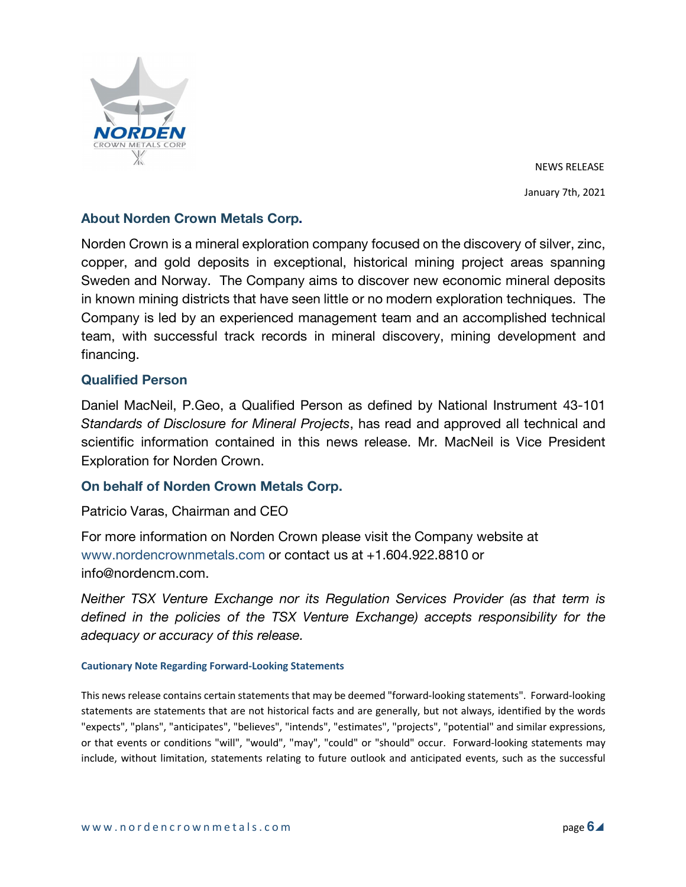

NEWS RELEASE January 7th, 2021

# **About Norden Crown Metals Corp.**

Norden Crown is a mineral exploration company focused on the discovery of silver, zinc, copper, and gold deposits in exceptional, historical mining project areas spanning Sweden and Norway. The Company aims to discover new economic mineral deposits in known mining districts that have seen little or no modern exploration techniques. The Company is led by an experienced management team and an accomplished technical team, with successful track records in mineral discovery, mining development and financing.

### **Qualified Person**

Daniel MacNeil, P.Geo, a Qualified Person as defined by National Instrument 43-101 *Standards of Disclosure for Mineral Projects*, has read and approved all technical and scientific information contained in this news release. Mr. MacNeil is Vice President Exploration for Norden Crown.

## **On behalf of Norden Crown Metals Corp.**

Patricio Varas, Chairman and CEO

For more information on Norden Crown please visit the Company website at www.nordencrownmetals.com or contact us at +1.604.922.8810 or info@nordencm.com.

*Neither TSX Venture Exchange nor its Regulation Services Provider (as that term is defined in the policies of the TSX Venture Exchange) accepts responsibility for the adequacy or accuracy of this release.* 

#### **Cautionary Note Regarding Forward-Looking Statements**

This news release contains certain statements that may be deemed "forward-looking statements". Forward-looking statements are statements that are not historical facts and are generally, but not always, identified by the words "expects", "plans", "anticipates", "believes", "intends", "estimates", "projects", "potential" and similar expressions, or that events or conditions "will", "would", "may", "could" or "should" occur. Forward-looking statements may include, without limitation, statements relating to future outlook and anticipated events, such as the successful